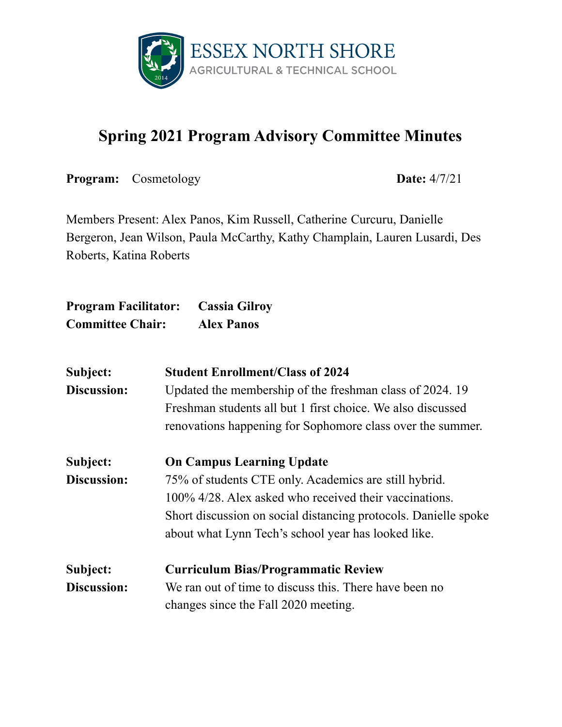

## **Spring 2021 Program Advisory Committee Minutes**

**Program:** Cosmetology **Date:** 4/7/21

Members Present: Alex Panos, Kim Russell, Catherine Curcuru, Danielle Bergeron, Jean Wilson, Paula McCarthy, Kathy Champlain, Lauren Lusardi, Des Roberts, Katina Roberts

| <b>Program Facilitator:</b> | <b>Cassia Gilroy</b> |
|-----------------------------|----------------------|
| <b>Committee Chair:</b>     | <b>Alex Panos</b>    |

| Subject:    | <b>Student Enrollment/Class of 2024</b>                         |  |
|-------------|-----------------------------------------------------------------|--|
| Discussion: | Updated the membership of the freshman class of 2024. 19        |  |
|             | Freshman students all but 1 first choice. We also discussed     |  |
|             | renovations happening for Sophomore class over the summer.      |  |
| Subject:    | <b>On Campus Learning Update</b>                                |  |
| Discussion: | 75% of students CTE only. Academics are still hybrid.           |  |
|             | 100% 4/28. Alex asked who received their vaccinations.          |  |
|             | Short discussion on social distancing protocols. Danielle spoke |  |
|             | about what Lynn Tech's school year has looked like.             |  |
| Subject:    | <b>Curriculum Bias/Programmatic Review</b>                      |  |
| Discussion: | We ran out of time to discuss this. There have been no          |  |
|             | changes since the Fall 2020 meeting.                            |  |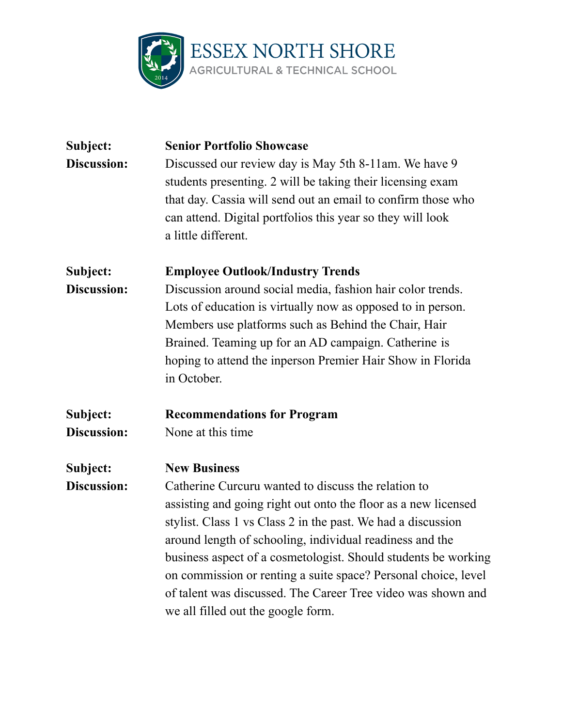

| Subject:    | <b>Senior Portfolio Showcase</b>                               |
|-------------|----------------------------------------------------------------|
| Discussion: | Discussed our review day is May 5th 8-11am. We have 9          |
|             | students presenting. 2 will be taking their licensing exam     |
|             | that day. Cassia will send out an email to confirm those who   |
|             | can attend. Digital portfolios this year so they will look     |
|             | a little different.                                            |
| Subject:    | <b>Employee Outlook/Industry Trends</b>                        |
| Discussion: | Discussion around social media, fashion hair color trends.     |
|             | Lots of education is virtually now as opposed to in person.    |
|             | Members use platforms such as Behind the Chair, Hair           |
|             | Brained. Teaming up for an AD campaign. Catherine is           |
|             | hoping to attend the inperson Premier Hair Show in Florida     |
|             | in October.                                                    |
| Subject:    | <b>Recommendations for Program</b>                             |
| Discussion: | None at this time                                              |
| Subject:    | <b>New Business</b>                                            |
| Discussion: | Catherine Curcuru wanted to discuss the relation to            |
|             | assisting and going right out onto the floor as a new licensed |
|             | stylist. Class 1 vs Class 2 in the past. We had a discussion   |
|             | around length of schooling, individual readiness and the       |
|             | business aspect of a cosmetologist. Should students be working |
|             | on commission or renting a suite space? Personal choice, level |
|             | of talent was discussed. The Career Tree video was shown and   |
|             | we all filled out the google form.                             |
|             |                                                                |